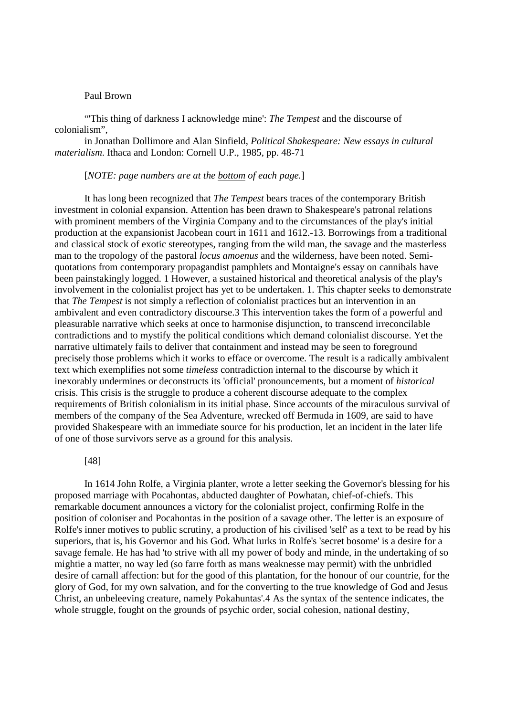### Paul Brown

"'This thing of darkness I acknowledge mine': *The Tempest* and the discourse of colonialism",

in Jonathan Dollimore and Alan Sinfield, *Political Shakespeare: New essays in cultural materialism*. Ithaca and London: Cornell U.P., 1985, pp. 48-71

## [*NOTE: page numbers are at the bottom of each page.*]

It has long been recognized that *The Tempest* bears traces of the contemporary British investment in colonial expansion. Attention has been drawn to Shakespeare's patronal relations with prominent members of the Virginia Company and to the circumstances of the play's initial production at the expansionist Jacobean court in 1611 and 1612.-13. Borrowings from a traditional and classical stock of exotic stereotypes, ranging from the wild man, the savage and the masterless man to the tropology of the pastoral *locus amoenus* and the wilderness, have been noted. Semiquotations from contemporary propagandist pamphlets and Montaigne's essay on cannibals have been painstakingly logged. 1 However, a sustained historical and theoretical analysis of the play's involvement in the colonialist project has yet to be undertaken. 1. This chapter seeks to demonstrate that *The Tempest* is not simply a reflection of colonialist practices but an intervention in an ambivalent and even contradictory discourse.3 This intervention takes the form of a powerful and pleasurable narrative which seeks at once to harmonise disjunction, to transcend irreconcilable contradictions and to mystify the political conditions which demand colonialist discourse. Yet the narrative ultimately fails to deliver that containment and instead may be seen to foreground precisely those problems which it works to efface or overcome. The result is a radically ambivalent text which exemplifies not some *timeless* contradiction internal to the discourse by which it inexorably undermines or deconstructs its 'official' pronouncements, but a moment of *historical* crisis. This crisis is the struggle to produce a coherent discourse adequate to the complex requirements of British colonialism in its initial phase. Since accounts of the miraculous survival of members of the company of the Sea Adventure, wrecked off Bermuda in 1609, are said to have provided Shakespeare with an immediate source for his production, let an incident in the later life of one of those survivors serve as a ground for this analysis.

## [48]

In 1614 John Rolfe, a Virginia planter, wrote a letter seeking the Governor's blessing for his proposed marriage with Pocahontas, abducted daughter of Powhatan, chief-of-chiefs. This remarkable document announces a victory for the colonialist project, confirming Rolfe in the position of coloniser and Pocahontas in the position of a savage other. The letter is an exposure of Rolfe's inner motives to public scrutiny, a production of his civilised 'self' as a text to be read by his superiors, that is, his Governor and his God. What lurks in Rolfe's 'secret bosome' is a desire for a savage female. He has had 'to strive with all my power of body and minde, in the undertaking of so mightie a matter, no way led (so farre forth as mans weaknesse may permit) with the unbridled desire of carnall affection: but for the good of this plantation, for the honour of our countrie, for the glory of God, for my own salvation, and for the converting to the true knowledge of God and Jesus Christ, an unbeleeving creature, namely Pokahuntas'.4 As the syntax of the sentence indicates, the whole struggle, fought on the grounds of psychic order, social cohesion, national destiny,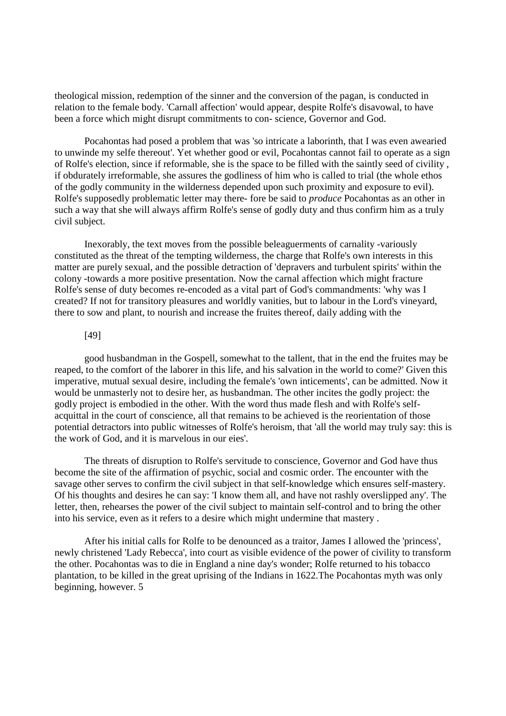theological mission, redemption of the sinner and the conversion of the pagan, is conducted in relation to the female body. 'Carnall affection' would appear, despite Rolfe's disavowal, to have been a force which might disrupt commitments to con- science, Governor and God.

Pocahontas had posed a problem that was 'so intricate a laborinth, that I was even awearied to unwinde my selfe thereout'. Yet whether good or evil, Pocahontas cannot fail to operate as a sign of Rolfe's election, since if reformable, she is the space to be filled with the saintly seed of civility , if obdurately irreformable, she assures the godliness of him who is called to trial (the whole ethos of the godly community in the wilderness depended upon such proximity and exposure to evil). Rolfe's supposedly problematic letter may there- fore be said to *produce* Pocahontas as an other in such a way that she will always affirm Rolfe's sense of godly duty and thus confirm him as a truly civil subject.

Inexorably, the text moves from the possible beleaguerments of carnality -variously constituted as the threat of the tempting wilderness, the charge that Rolfe's own interests in this matter are purely sexual, and the possible detraction of 'depravers and turbulent spirits' within the colony -towards a more positive presentation. Now the carnal affection which might fracture Rolfe's sense of duty becomes re-encoded as a vital part of God's commandments: 'why was I created? If not for transitory pleasures and worldly vanities, but to labour in the Lord's vineyard, there to sow and plant, to nourish and increase the fruites thereof, daily adding with the

### [49]

good husbandman in the Gospell, somewhat to the tallent, that in the end the fruites may be reaped, to the comfort of the laborer in this life, and his salvation in the world to come?' Given this imperative, mutual sexual desire, including the female's 'own inticements', can be admitted. Now it would be unmasterly not to desire her, as husbandman. The other incites the godly project: the godly project is embodied in the other. With the word thus made flesh and with Rolfe's selfacquittal in the court of conscience, all that remains to be achieved is the reorientation of those potential detractors into public witnesses of Rolfe's heroism, that 'all the world may truly say: this is the work of God, and it is marvelous in our eies'.

The threats of disruption to Rolfe's servitude to conscience, Governor and God have thus become the site of the affirmation of psychic, social and cosmic order. The encounter with the savage other serves to confirm the civil subject in that self-knowledge which ensures self-mastery. Of his thoughts and desires he can say: 'I know them all, and have not rashly overslipped any'. The letter, then, rehearses the power of the civil subject to maintain self-control and to bring the other into his service, even as it refers to a desire which might undermine that mastery .

After his initial calls for Rolfe to be denounced as a traitor, James I allowed the 'princess', newly christened 'Lady Rebecca', into court as visible evidence of the power of civility to transform the other. Pocahontas was to die in England a nine day's wonder; Rolfe returned to his tobacco plantation, to be killed in the great uprising of the Indians in 1622.The Pocahontas myth was only beginning, however. 5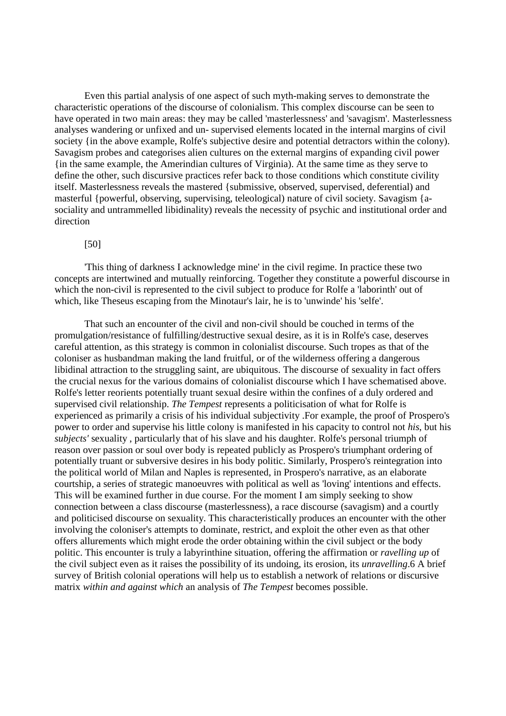Even this partial analysis of one aspect of such myth-making serves to demonstrate the characteristic operations of the discourse of colonialism. This complex discourse can be seen to have operated in two main areas: they may be called 'masterlessness' and 'savagism'. Masterlessness analyses wandering or unfixed and un- supervised elements located in the internal margins of civil society {in the above example, Rolfe's subjective desire and potential detractors within the colony). Savagism probes and categorises alien cultures on the external margins of expanding civil power {in the same example, the Amerindian cultures of Virginia). At the same time as they serve to define the other, such discursive practices refer back to those conditions which constitute civility itself. Masterlessness reveals the mastered {submissive, observed, supervised, deferential) and masterful {powerful, observing, supervising, teleological) nature of civil society. Savagism {asociality and untrammelled libidinality) reveals the necessity of psychic and institutional order and direction

## [50]

'This thing of darkness I acknowledge mine' in the civil regime. In practice these two concepts are intertwined and mutually reinforcing. Together they constitute a powerful discourse in which the non-civil is represented to the civil subject to produce for Rolfe a 'laborinth' out of which, like Theseus escaping from the Minotaur's lair, he is to 'unwinde' his 'selfe'.

That such an encounter of the civil and non-civil should be couched in terms of the promulgation/resistance of fulfilling/destructive sexual desire, as it is in Rolfe's case, deserves careful attention, as this strategy is common in colonialist discourse. Such tropes as that of the coloniser as husbandman making the land fruitful, or of the wilderness offering a dangerous libidinal attraction to the struggling saint, are ubiquitous. The discourse of sexuality in fact offers the crucial nexus for the various domains of colonialist discourse which I have schematised above. Rolfe's letter reorients potentially truant sexual desire within the confines of a duly ordered and supervised civil relationship. *The Tempest* represents a politicisation of what for Rolfe is experienced as primarily a crisis of his individual subjectivity .For example, the proof of Prospero's power to order and supervise his little colony is manifested in his capacity to control not *his*, but his *subjects'* sexuality , particularly that of his slave and his daughter. Rolfe's personal triumph of reason over passion or soul over body is repeated publicly as Prospero's triumphant ordering of potentially truant or subversive desires in his body politic. Similarly, Prospero's reintegration into the political world of Milan and Naples is represented, in Prospero's narrative, as an elaborate courtship, a series of strategic manoeuvres with political as well as 'loving' intentions and effects. This will be examined further in due course. For the moment I am simply seeking to show connection between a class discourse (masterlessness), a race discourse (savagism) and a courtly and politicised discourse on sexuality. This characteristically produces an encounter with the other involving the coloniser's attempts to dominate, restrict, and exploit the other even as that other offers allurements which might erode the order obtaining within the civil subject or the body politic. This encounter is truly a labyrinthine situation, offering the affirmation or *ravelling up* of the civil subject even as it raises the possibility of its undoing, its erosion, its *unravelling*.6 A brief survey of British colonial operations will help us to establish a network of relations or discursive matrix *within and against which* an analysis of *The Tempest* becomes possible.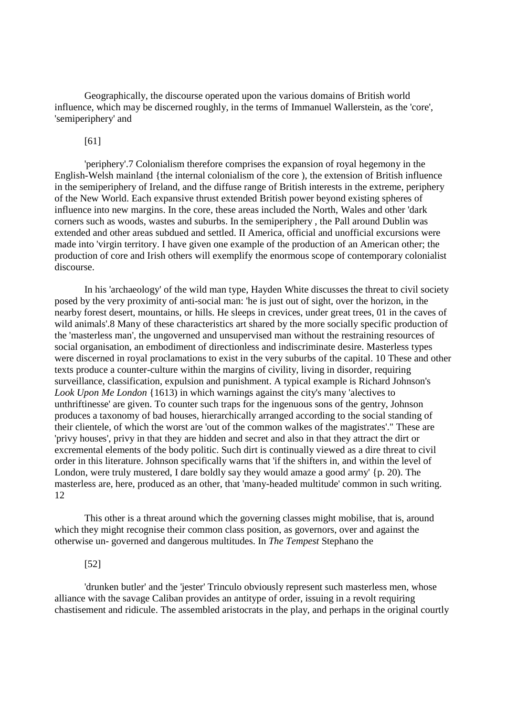Geographically, the discourse operated upon the various domains of British world influence, which may be discerned roughly, in the terms of Immanuel Wallerstein, as the 'core', 'semiperiphery' and

[61]

'periphery'.7 Colonialism therefore comprises the expansion of royal hegemony in the English-Welsh mainland {the internal colonialism of the core ), the extension of British influence in the semiperiphery of Ireland, and the diffuse range of British interests in the extreme, periphery of the New World. Each expansive thrust extended British power beyond existing spheres of influence into new margins. In the core, these areas included the North, Wales and other 'dark corners such as woods, wastes and suburbs. In the semiperiphery , the Pall around Dublin was extended and other areas subdued and settled. II America, official and unofficial excursions were made into 'virgin territory. I have given one example of the production of an American other; the production of core and Irish others will exemplify the enormous scope of contemporary colonialist discourse.

In his 'archaeology' of the wild man type, Hayden White discusses the threat to civil society posed by the very proximity of anti-social man: 'he is just out of sight, over the horizon, in the nearby forest desert, mountains, or hills. He sleeps in crevices, under great trees, 01 in the caves of wild animals'.8 Many of these characteristics art shared by the more socially specific production of the 'masterless man', the ungoverned and unsupervised man without the restraining resources of social organisation, an embodiment of directionless and indiscriminate desire. Masterless types were discerned in royal proclamations to exist in the very suburbs of the capital. 10 These and other texts produce a counter-culture within the margins of civility, living in disorder, requiring surveillance, classification, expulsion and punishment. A typical example is Richard Johnson's *Look Upon Me London* {1613) in which warnings against the city's many 'alectives to unthriftinesse' are given. To counter such traps for the ingenuous sons of the gentry, Johnson produces a taxonomy of bad houses, hierarchically arranged according to the social standing of their clientele, of which the worst are 'out of the common walkes of the magistrates'." These are 'privy houses', privy in that they are hidden and secret and also in that they attract the dirt or excremental elements of the body politic. Such dirt is continually viewed as a dire threat to civil order in this literature. Johnson specifically warns that 'if the shifters in, and within the level of London, were truly mustered, I dare boldly say they would amaze a good army' {p. 20). The masterless are, here, produced as an other, that 'many-headed multitude' common in such writing. 12

This other is a threat around which the governing classes might mobilise, that is, around which they might recognise their common class position, as governors, over and against the otherwise un- governed and dangerous multitudes. In *The Tempest* Stephano the

# [52]

'drunken butler' and the 'jester' Trinculo obviously represent such masterless men, whose alliance with the savage Caliban provides an antitype of order, issuing in a revolt requiring chastisement and ridicule. The assembled aristocrats in the play, and perhaps in the original courtly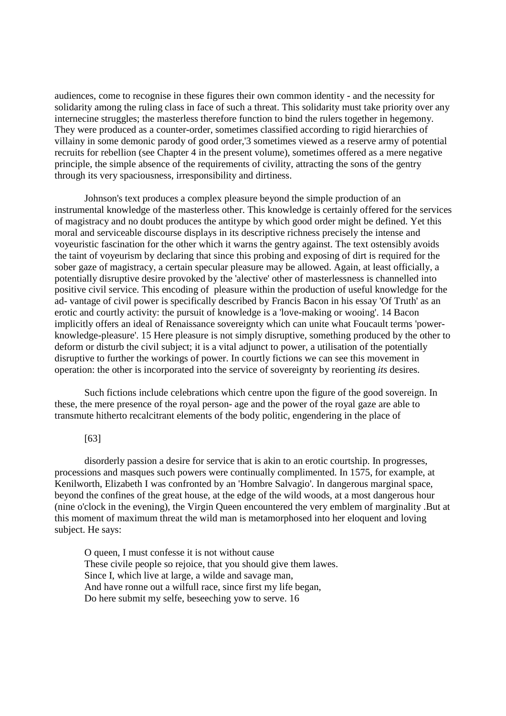audiences, come to recognise in these figures their own common identity - and the necessity for solidarity among the ruling class in face of such a threat. This solidarity must take priority over any internecine struggles; the masterless therefore function to bind the rulers together in hegemony. They were produced as a counter-order, sometimes classified according to rigid hierarchies of villainy in some demonic parody of good order,'3 sometimes viewed as a reserve army of potential recruits for rebellion (see Chapter 4 in the present volume), sometimes offered as a mere negative principle, the simple absence of the requirements of civility, attracting the sons of the gentry through its very spaciousness, irresponsibility and dirtiness.

Johnson's text produces a complex pleasure beyond the simple production of an instrumental knowledge of the masterless other. This knowledge is certainly offered for the services of magistracy and no doubt produces the antitype by which good order might be defined. Yet this moral and serviceable discourse displays in its descriptive richness precisely the intense and voyeuristic fascination for the other which it warns the gentry against. The text ostensibly avoids the taint of voyeurism by declaring that since this probing and exposing of dirt is required for the sober gaze of magistracy, a certain specular pleasure may be allowed. Again, at least officially, a potentially disruptive desire provoked by the 'alective' other of masterlessness is channelled into positive civil service. This encoding of pleasure within the production of useful knowledge for the ad- vantage of civil power is specifically described by Francis Bacon in his essay 'Of Truth' as an erotic and courtly activity: the pursuit of knowledge is a 'love-making or wooing'. 14 Bacon implicitly offers an ideal of Renaissance sovereignty which can unite what Foucault terms 'powerknowledge-pleasure'. 15 Here pleasure is not simply disruptive, something produced by the other to deform or disturb the civil subject; it is a vital adjunct to power, a utilisation of the potentially disruptive to further the workings of power. In courtly fictions we can see this movement in operation: the other is incorporated into the service of sovereignty by reorienting *its* desires.

Such fictions include celebrations which centre upon the figure of the good sovereign. In these, the mere presence of the royal person- age and the power of the royal gaze are able to transmute hitherto recalcitrant elements of the body politic, engendering in the place of

### [63]

disorderly passion a desire for service that is akin to an erotic courtship. In progresses, processions and masques such powers were continually complimented. In 1575, for example, at Kenilworth, Elizabeth I was confronted by an 'Hombre Salvagio'. In dangerous marginal space, beyond the confines of the great house, at the edge of the wild woods, at a most dangerous hour (nine o'clock in the evening), the Virgin Queen encountered the very emblem of marginality .But at this moment of maximum threat the wild man is metamorphosed into her eloquent and loving subject. He says:

O queen, I must confesse it is not without cause These civile people so rejoice, that you should give them lawes. Since I, which live at large, a wilde and savage man, And have ronne out a wilfull race, since first my life began, Do here submit my selfe, beseeching yow to serve. 16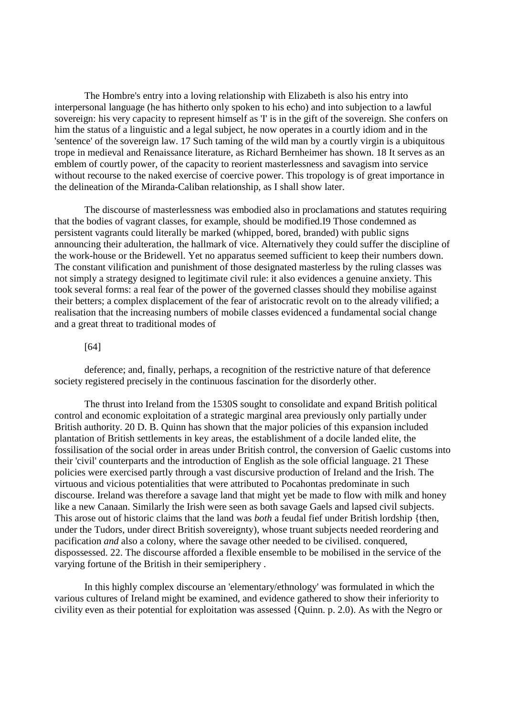The Hombre's entry into a loving relationship with Elizabeth is also his entry into interpersonal language (he has hitherto only spoken to his echo) and into subjection to a lawful sovereign: his very capacity to represent himself as 'I' is in the gift of the sovereign. She confers on him the status of a linguistic and a legal subject, he now operates in a courtly idiom and in the 'sentence' of the sovereign law. 17 Such taming of the wild man by a courtly virgin is a ubiquitous trope in medieval and Renaissance literature, as Richard Bernheimer has shown. 18 It serves as an emblem of courtly power, of the capacity to reorient masterlessness and savagism into service without recourse to the naked exercise of coercive power. This tropology is of great importance in the delineation of the Miranda-Caliban relationship, as I shall show later.

The discourse of masterlessness was embodied also in proclamations and statutes requiring that the bodies of vagrant classes, for example, should be modified.I9 Those condemned as persistent vagrants could literally be marked (whipped, bored, branded) with public signs announcing their adulteration, the hallmark of vice. Alternatively they could suffer the discipline of the work-house or the Bridewell. Yet no apparatus seemed sufficient to keep their numbers down. The constant vilification and punishment of those designated masterless by the ruling classes was not simply a strategy designed to legitimate civil rule: it also evidences a genuine anxiety. This took several forms: a real fear of the power of the governed classes should they mobilise against their betters; a complex displacement of the fear of aristocratic revolt on to the already vilified; a realisation that the increasing numbers of mobile classes evidenced a fundamental social change and a great threat to traditional modes of

### [64]

deference; and, finally, perhaps, a recognition of the restrictive nature of that deference society registered precisely in the continuous fascination for the disorderly other.

The thrust into Ireland from the 1530S sought to consolidate and expand British political control and economic exploitation of a strategic marginal area previously only partially under British authority. 20 D. B. Quinn has shown that the major policies of this expansion included plantation of British settlements in key areas, the establishment of a docile landed elite, the fossilisation of the social order in areas under British control, the conversion of Gaelic customs into their 'civil' counterparts and the introduction of English as the sole official language. 21 These policies were exercised partly through a vast discursive production of Ireland and the Irish. The virtuous and vicious potentialities that were attributed to Pocahontas predominate in such discourse. Ireland was therefore a savage land that might yet be made to flow with milk and honey like a new Canaan. Similarly the Irish were seen as both savage Gaels and lapsed civil subjects. This arose out of historic claims that the land was *both* a feudal fief under British lordship {then, under the Tudors, under direct British sovereignty), whose truant subjects needed reordering and pacification *and* also a colony, where the savage other needed to be civilised. conquered, dispossessed. 22. The discourse afforded a flexible ensemble to be mobilised in the service of the varying fortune of the British in their semiperiphery .

In this highly complex discourse an 'elementary/ethnology' was formulated in which the various cultures of Ireland might be examined, and evidence gathered to show their inferiority to civility even as their potential for exploitation was assessed {Quinn. p. 2.0). As with the Negro or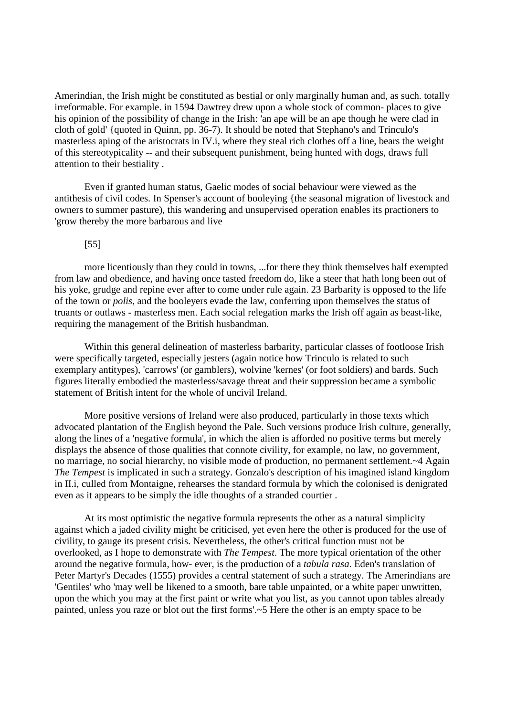Amerindian, the Irish might be constituted as bestial or only marginally human and, as such. totally irreformable. For example. in 1594 Dawtrey drew upon a whole stock of common- places to give his opinion of the possibility of change in the Irish: 'an ape will be an ape though he were clad in cloth of gold' {quoted in Quinn, pp. 36-7). It should be noted that Stephano's and Trinculo's masterless aping of the aristocrats in IV.i, where they steal rich clothes off a line, bears the weight of this stereotypicality -- and their subsequent punishment, being hunted with dogs, draws full attention to their bestiality .

Even if granted human status, Gaelic modes of social behaviour were viewed as the antithesis of civil codes. In Spenser's account of booleying {the seasonal migration of livestock and owners to summer pasture), this wandering and unsupervised operation enables its practioners to 'grow thereby the more barbarous and live

### [55]

more licentiously than they could in towns, ...for there they think themselves half exempted from law and obedience, and having once tasted freedom do, like a steer that hath long been out of his yoke, grudge and repine ever after to come under rule again. 23 Barbarity is opposed to the life of the town or *polis*, and the booleyers evade the law, conferring upon themselves the status of truants or outlaws - masterless men. Each social relegation marks the Irish off again as beast-like, requiring the management of the British husbandman.

Within this general delineation of masterless barbarity, particular classes of footloose Irish were specifically targeted, especially jesters (again notice how Trinculo is related to such exemplary antitypes), 'carrows' (or gamblers), wolvine 'kernes' (or foot soldiers) and bards. Such figures literally embodied the masterless/savage threat and their suppression became a symbolic statement of British intent for the whole of uncivil Ireland.

More positive versions of Ireland were also produced, particularly in those texts which advocated plantation of the English beyond the Pale. Such versions produce Irish culture, generally, along the lines of a 'negative formula', in which the alien is afforded no positive terms but merely displays the absence of those qualities that connote civility, for example, no law, no government, no marriage, no social hierarchy, no visible mode of production, no permanent settlement.~4 Again *The Tempest* is implicated in such a strategy. Gonzalo's description of his imagined island kingdom in II.i, culled from Montaigne, rehearses the standard formula by which the colonised is denigrated even as it appears to be simply the idle thoughts of a stranded courtier .

At its most optimistic the negative formula represents the other as a natural simplicity against which a jaded civility might be criticised, yet even here the other is produced for the use of civility, to gauge its present crisis. Nevertheless, the other's critical function must not be overlooked, as I hope to demonstrate with *The Tempest*. The more typical orientation of the other around the negative formula, how- ever, is the production of a *tabula rasa*. Eden's translation of Peter Martyr's Decades (1555) provides a central statement of such a strategy. The Amerindians are 'Gentiles' who 'may well be likened to a smooth, bare table unpainted, or a white paper unwritten, upon the which you may at the first paint or write what you list, as you cannot upon tables already painted, unless you raze or blot out the first forms'.~5 Here the other is an empty space to be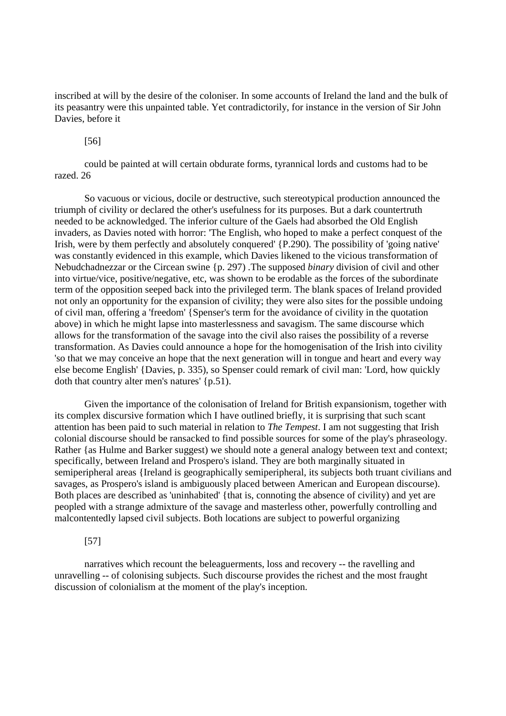inscribed at will by the desire of the coloniser. In some accounts of Ireland the land and the bulk of its peasantry were this unpainted table. Yet contradictorily, for instance in the version of Sir John Davies, before it

[56]

could be painted at will certain obdurate forms, tyrannical lords and customs had to be razed. 26

So vacuous or vicious, docile or destructive, such stereotypical production announced the triumph of civility or declared the other's usefulness for its purposes. But a dark countertruth needed to be acknowledged. The inferior culture of the Gaels had absorbed the Old English invaders, as Davies noted with horror: 'The English, who hoped to make a perfect conquest of the Irish, were by them perfectly and absolutely conquered' {P.290). The possibility of 'going native' was constantly evidenced in this example, which Davies likened to the vicious transformation of Nebudchadnezzar or the Circean swine {p. 297) .The supposed *binary* division of civil and other into virtue/vice, positive/negative, etc, was shown to be erodable as the forces of the subordinate term of the opposition seeped back into the privileged term. The blank spaces of Ireland provided not only an opportunity for the expansion of civility; they were also sites for the possible undoing of civil man, offering a 'freedom' {Spenser's term for the avoidance of civility in the quotation above) in which he might lapse into masterlessness and savagism. The same discourse which allows for the transformation of the savage into the civil also raises the possibility of a reverse transformation. As Davies could announce a hope for the homogenisation of the Irish into civility 'so that we may conceive an hope that the next generation will in tongue and heart and every way else become English' {Davies, p. 335), so Spenser could remark of civil man: 'Lord, how quickly doth that country alter men's natures' {p.51).

Given the importance of the colonisation of Ireland for British expansionism, together with its complex discursive formation which I have outlined briefly, it is surprising that such scant attention has been paid to such material in relation to *The Tempest*. I am not suggesting that Irish colonial discourse should be ransacked to find possible sources for some of the play's phraseology. Rather {as Hulme and Barker suggest) we should note a general analogy between text and context; specifically, between Ireland and Prospero's island. They are both marginally situated in semiperipheral areas {Ireland is geographically semiperipheral, its subjects both truant civilians and savages, as Prospero's island is ambiguously placed between American and European discourse). Both places are described as 'uninhabited' {that is, connoting the absence of civility) and yet are peopled with a strange admixture of the savage and masterless other, powerfully controlling and malcontentedly lapsed civil subjects. Both locations are subject to powerful organizing

## [57]

narratives which recount the beleaguerments, loss and recovery -- the ravelling and unravelling -- of colonising subjects. Such discourse provides the richest and the most fraught discussion of colonialism at the moment of the play's inception.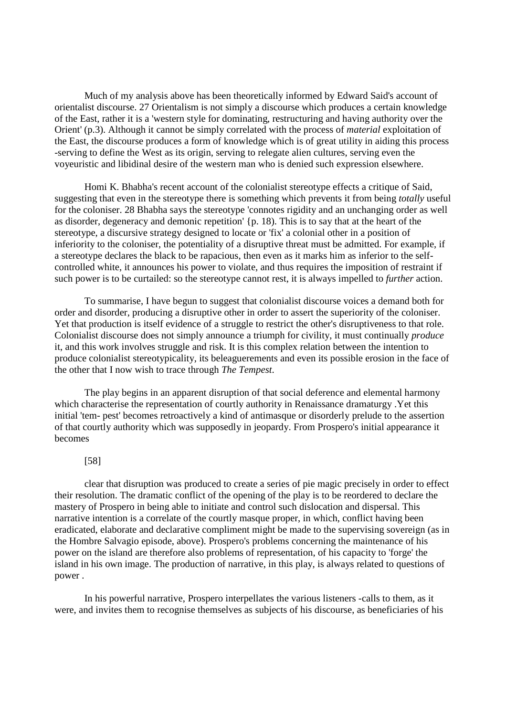Much of my analysis above has been theoretically informed by Edward Said's account of orientalist discourse. 27 Orientalism is not simply a discourse which produces a certain knowledge of the East, rather it is a 'western style for dominating, restructuring and having authority over the Orient' (p.3). Although it cannot be simply correlated with the process of *material* exploitation of the East, the discourse produces a form of knowledge which is of great utility in aiding this process -serving to define the West as its origin, serving to relegate alien cultures, serving even the voyeuristic and libidinal desire of the western man who is denied such expression elsewhere.

Homi K. Bhabha's recent account of the colonialist stereotype effects a critique of Said, suggesting that even in the stereotype there is something which prevents it from being *totally* useful for the coloniser. 28 Bhabha says the stereotype 'connotes rigidity and an unchanging order as well as disorder, degeneracy and demonic repetition' {p. 18). This is to say that at the heart of the stereotype, a discursive strategy designed to locate or 'fix' a colonial other in a position of inferiority to the coloniser, the potentiality of a disruptive threat must be admitted. For example, if a stereotype declares the black to be rapacious, then even as it marks him as inferior to the selfcontrolled white, it announces his power to violate, and thus requires the imposition of restraint if such power is to be curtailed: so the stereotype cannot rest, it is always impelled to *further* action.

To summarise, I have begun to suggest that colonialist discourse voices a demand both for order and disorder, producing a disruptive other in order to assert the superiority of the coloniser. Yet that production is itself evidence of a struggle to restrict the other's disruptiveness to that role. Colonialist discourse does not simply announce a triumph for civility, it must continually *produce* it, and this work involves struggle and risk. It is this complex relation between the intention to produce colonialist stereotypicality, its beleaguerements and even its possible erosion in the face of the other that I now wish to trace through *The Tempest*.

The play begins in an apparent disruption of that social deference and elemental harmony which characterise the representation of courtly authority in Renaissance dramaturgy .Yet this initial 'tem- pest' becomes retroactively a kind of antimasque or disorderly prelude to the assertion of that courtly authority which was supposedly in jeopardy. From Prospero's initial appearance it becomes

## [58]

clear that disruption was produced to create a series of pie magic precisely in order to effect their resolution. The dramatic conflict of the opening of the play is to be reordered to declare the mastery of Prospero in being able to initiate and control such dislocation and dispersal. This narrative intention is a correlate of the courtly masque proper, in which, conflict having been eradicated, elaborate and declarative compliment might be made to the supervising sovereign (as in the Hombre Salvagio episode, above). Prospero's problems concerning the maintenance of his power on the island are therefore also problems of representation, of his capacity to 'forge' the island in his own image. The production of narrative, in this play, is always related to questions of power .

In his powerful narrative, Prospero interpellates the various listeners -calls to them, as it were, and invites them to recognise themselves as subjects of his discourse, as beneficiaries of his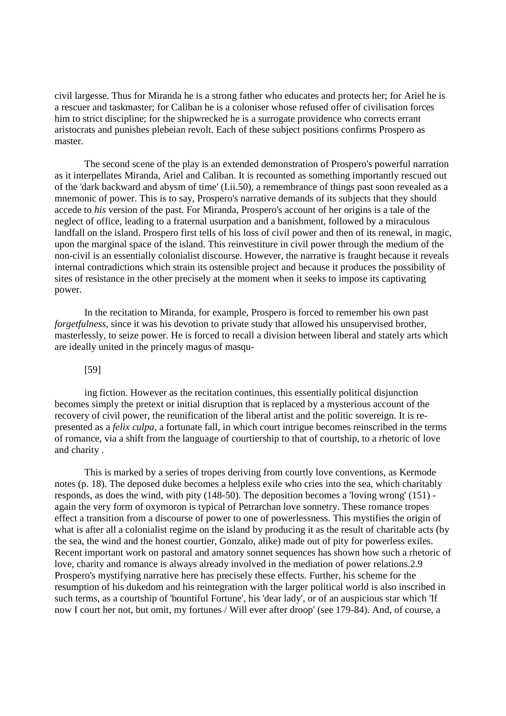civil largesse. Thus for Miranda he is a strong father who educates and protects her; for Ariel he is a rescuer and taskmaster; for Caliban he is a coloniser whose refused offer of civilisation forces him to strict discipline; for the shipwrecked he is a surrogate providence who corrects errant aristocrats and punishes plebeian revolt. Each of these subject positions confirms Prospero as master.

The second scene of the play is an extended demonstration of Prospero's powerful narration as it interpellates Miranda, Ariel and Caliban. It is recounted as something importantly rescued out of the 'dark backward and abysm of time' (I.ii.50), a remembrance of things past soon revealed as a mnemonic of power. This is to say, Prospero's narrative demands of its subjects that they should accede to *his* version of the past. For Miranda, Prospero's account of her origins is a tale of the neglect of office, leading to a fraternal usurpation and a banishment, followed by a miraculous landfall on the island. Prospero first tells of his loss of civil power and then of its renewal, in magic, upon the marginal space of the island. This reinvestiture in civil power through the medium of the non-civil is an essentially colonialist discourse. However, the narrative is fraught because it reveals internal contradictions which strain its ostensible project and because it produces the possibility of sites of resistance in the other precisely at the moment when it seeks to impose its captivating power.

In the recitation to Miranda, for example, Prospero is forced to remember his own past *forgetfulness*, since it was his devotion to private study that allowed his unsupervised brother, masterlessly, to seize power. He is forced to recall a division between liberal and stately arts which are ideally united in the princely magus of masqu-

### [59]

ing fiction. However as the recitation continues, this essentially political disjunction becomes simply the pretext or initial disruption that is replaced by a mysterious account of the recovery of civil power, the reunification of the liberal artist and the politic sovereign. It is represented as a *felix culpa*, a fortunate fall, in which court intrigue becomes reinscribed in the terms of romance, via a shift from the language of courtiership to that of courtship, to a rhetoric of love and charity .

This is marked by a series of tropes deriving from courtly love conventions, as Kermode notes (p. 18). The deposed duke becomes a helpless exile who cries into the sea, which charitably responds, as does the wind, with pity (148-50). The deposition becomes a 'loving wrong' (151) again the very form of oxymoron is typical of Petrarchan love sonnetry. These romance tropes effect a transition from a discourse of power to one of powerlessness. This mystifies the origin of what is after all a colonialist regime on the island by producing it as the result of charitable acts (by the sea, the wind and the honest courtier, Gonzalo, alike) made out of pity for powerless exiles. Recent important work on pastoral and amatory sonnet sequences has shown how such a rhetoric of love, charity and romance is always already involved in the mediation of power relations.2.9 Prospero's mystifying narrative here has precisely these effects. Further, his scheme for the resumption of his dukedom and his reintegration with the larger political world is also inscribed in such terms, as a courtship of 'bountiful Fortune', his 'dear lady', or of an auspicious star which 'If now I court her not, but omit, my fortunes / Will ever after droop' (see 179-84). And, of course, a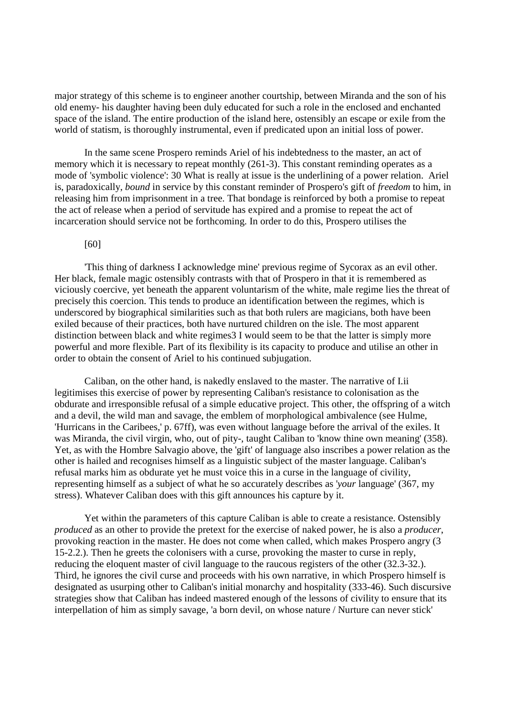major strategy of this scheme is to engineer another courtship, between Miranda and the son of his old enemy- his daughter having been duly educated for such a role in the enclosed and enchanted space of the island. The entire production of the island here, ostensibly an escape or exile from the world of statism, is thoroughly instrumental, even if predicated upon an initial loss of power.

In the same scene Prospero reminds Ariel of his indebtedness to the master, an act of memory which it is necessary to repeat monthly (261-3). This constant reminding operates as a mode of 'symbolic violence': 30 What is really at issue is the underlining of a power relation. Ariel is, paradoxically, *bound* in service by this constant reminder of Prospero's gift of *freedom* to him, in releasing him from imprisonment in a tree. That bondage is reinforced by both a promise to repeat the act of release when a period of servitude has expired and a promise to repeat the act of incarceration should service not be forthcoming. In order to do this, Prospero utilises the

[60]

'This thing of darkness I acknowledge mine' previous regime of Sycorax as an evil other. Her black, female magic ostensibly contrasts with that of Prospero in that it is remembered as viciously coercive, yet beneath the apparent voluntarism of the white, male regime lies the threat of precisely this coercion. This tends to produce an identification between the regimes, which is underscored by biographical similarities such as that both rulers are magicians, both have been exiled because of their practices, both have nurtured children on the isle. The most apparent distinction between black and white regimes 3 I would seem to be that the latter is simply more powerful and more flexible. Part of its flexibility is its capacity to produce and utilise an other in order to obtain the consent of Ariel to his continued subjugation.

Caliban, on the other hand, is nakedly enslaved to the master. The narrative of I.ii legitimises this exercise of power by representing Caliban's resistance to colonisation as the obdurate and irresponsible refusal of a simple educative project. This other, the offspring of a witch and a devil, the wild man and savage, the emblem of morphological ambivalence (see Hulme, 'Hurricans in the Caribees,' p. 67ff), was even without language before the arrival of the exiles. It was Miranda, the civil virgin, who, out of pity-, taught Caliban to 'know thine own meaning' (358). Yet, as with the Hombre Salvagio above, the 'gift' of language also inscribes a power relation as the other is hailed and recognises himself as a linguistic subject of the master language. Caliban's refusal marks him as obdurate yet he must voice this in a curse in the language of civility, representing himself as a subject of what he so accurately describes as '*your* language' (367, my stress). Whatever Caliban does with this gift announces his capture by it.

Yet within the parameters of this capture Caliban is able to create a resistance. Ostensibly *produced* as an other to provide the pretext for the exercise of naked power, he is also a *producer*, provoking reaction in the master. He does not come when called, which makes Prospero angry (3 15-2.2.). Then he greets the colonisers with a curse, provoking the master to curse in reply, reducing the eloquent master of civil language to the raucous registers of the other (32.3-32.). Third, he ignores the civil curse and proceeds with his own narrative, in which Prospero himself is designated as usurping other to Caliban's initial monarchy and hospitality (333-46). Such discursive strategies show that Caliban has indeed mastered enough of the lessons of civility to ensure that its interpellation of him as simply savage, 'a born devil, on whose nature / Nurture can never stick'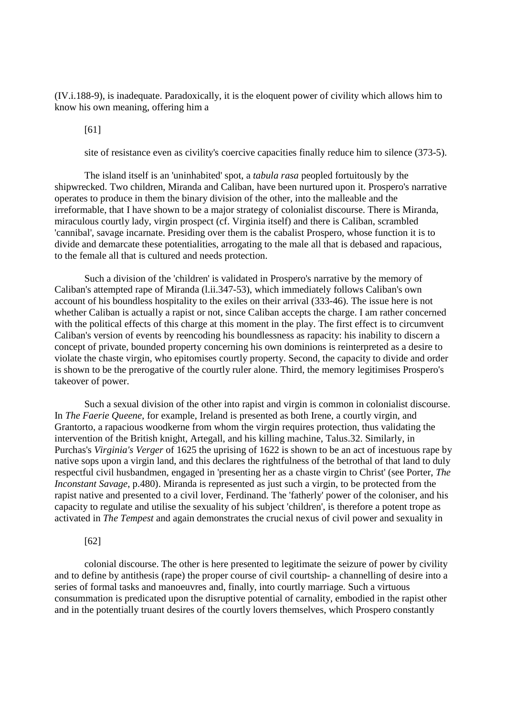(IV.i.188-9), is inadequate. Paradoxically, it is the eloquent power of civility which allows him to know his own meaning, offering him a

[61]

site of resistance even as civility's coercive capacities finally reduce him to silence (373-5).

The island itself is an 'uninhabited' spot, a *tabula rasa* peopled fortuitously by the shipwrecked. Two children, Miranda and Caliban, have been nurtured upon it. Prospero's narrative operates to produce in them the binary division of the other, into the malleable and the irreformable, that I have shown to be a major strategy of colonialist discourse. There is Miranda, miraculous courtly lady, virgin prospect (cf. Virginia itself) and there is Caliban, scrambled 'cannibal', savage incarnate. Presiding over them is the cabalist Prospero, whose function it is to divide and demarcate these potentialities, arrogating to the male all that is debased and rapacious, to the female all that is cultured and needs protection.

Such a division of the 'children' is validated in Prospero's narrative by the memory of Caliban's attempted rape of Miranda (l.ii.347-53), which immediately follows Caliban's own account of his boundless hospitality to the exiles on their arrival (333-46). The issue here is not whether Caliban is actually a rapist or not, since Caliban accepts the charge. I am rather concerned with the political effects of this charge at this moment in the play. The first effect is to circumvent Caliban's version of events by reencoding his boundlessness as rapacity: his inability to discern a concept of private, bounded property concerning his own dominions is reinterpreted as a desire to violate the chaste virgin, who epitomises courtly property. Second, the capacity to divide and order is shown to be the prerogative of the courtly ruler alone. Third, the memory legitimises Prospero's takeover of power.

Such a sexual division of the other into rapist and virgin is common in colonialist discourse. In *The Faerie Queene*, for example, Ireland is presented as both Irene, a courtly virgin, and Grantorto, a rapacious woodkerne from whom the virgin requires protection, thus validating the intervention of the British knight, Artegall, and his killing machine, Talus.32. Similarly, in Purchas's *Virginia's Verger* of 1625 the uprising of 1622 is shown to be an act of incestuous rape by native sops upon a virgin land, and this declares the rightfulness of the betrothal of that land to duly respectful civil husbandmen, engaged in 'presenting her as a chaste virgin to Christ' (see Porter, *The Inconstant Savage*, p.480). Miranda is represented as just such a virgin, to be protected from the rapist native and presented to a civil lover, Ferdinand. The 'fatherly' power of the coloniser, and his capacity to regulate and utilise the sexuality of his subject 'children', is therefore a potent trope as activated in *The Tempest* and again demonstrates the crucial nexus of civil power and sexuality in

### [62]

colonial discourse. The other is here presented to legitimate the seizure of power by civility and to define by antithesis (rape) the proper course of civil courtship- a channelling of desire into a series of formal tasks and manoeuvres and, finally, into courtly marriage. Such a virtuous consummation is predicated upon the disruptive potential of carnality, embodied in the rapist other and in the potentially truant desires of the courtly lovers themselves, which Prospero constantly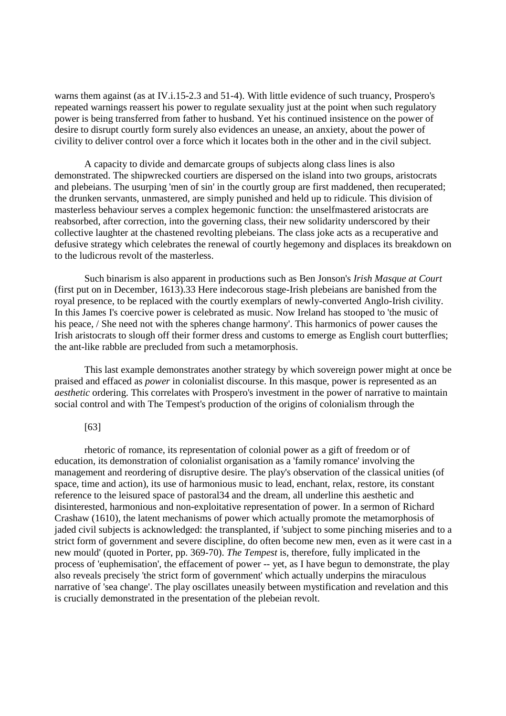warns them against (as at IV.i.15-2.3 and 51-4). With little evidence of such truancy, Prospero's repeated warnings reassert his power to regulate sexuality just at the point when such regulatory power is being transferred from father to husband. Yet his continued insistence on the power of desire to disrupt courtly form surely also evidences an unease, an anxiety, about the power of civility to deliver control over a force which it locates both in the other and in the civil subject.

A capacity to divide and demarcate groups of subjects along class lines is also demonstrated. The shipwrecked courtiers are dispersed on the island into two groups, aristocrats and plebeians. The usurping 'men of sin' in the courtly group are first maddened, then recuperated; the drunken servants, unmastered, are simply punished and held up to ridicule. This division of masterless behaviour serves a complex hegemonic function: the unselfmastered aristocrats are reabsorbed, after correction, into the governing class, their new solidarity underscored by their collective laughter at the chastened revolting plebeians. The class joke acts as a recuperative and defusive strategy which celebrates the renewal of courtly hegemony and displaces its breakdown on to the ludicrous revolt of the masterless.

Such binarism is also apparent in productions such as Ben Jonson's *Irish Masque at Court* (first put on in December, 1613).33 Here indecorous stage-Irish plebeians are banished from the royal presence, to be replaced with the courtly exemplars of newly-converted Anglo-Irish civility. In this James I's coercive power is celebrated as music. Now Ireland has stooped to 'the music of his peace, / She need not with the spheres change harmony'. This harmonics of power causes the Irish aristocrats to slough off their former dress and customs to emerge as English court butterflies; the ant-like rabble are precluded from such a metamorphosis.

This last example demonstrates another strategy by which sovereign power might at once be praised and effaced as *power* in colonialist discourse. In this masque, power is represented as an *aesthetic* ordering. This correlates with Prospero's investment in the power of narrative to maintain social control and with The Tempest's production of the origins of colonialism through the

### [63]

rhetoric of romance, its representation of colonial power as a gift of freedom or of education, its demonstration of colonialist organisation as a 'family romance' involving the management and reordering of disruptive desire. The play's observation of the classical unities (of space, time and action), its use of harmonious music to lead, enchant, relax, restore, its constant reference to the leisured space of pastoral34 and the dream, all underline this aesthetic and disinterested, harmonious and non-exploitative representation of power. In a sermon of Richard Crashaw (1610), the latent mechanisms of power which actually promote the metamorphosis of jaded civil subjects is acknowledged: the transplanted, if 'subject to some pinching miseries and to a strict form of government and severe discipline, do often become new men, even as it were cast in a new mould' (quoted in Porter, pp. 369-70). *The Tempest* is, therefore, fully implicated in the process of 'euphemisation', the effacement of power -- yet, as I have begun to demonstrate, the play also reveals precisely 'the strict form of government' which actually underpins the miraculous narrative of 'sea change'. The play oscillates uneasily between mystification and revelation and this is crucially demonstrated in the presentation of the plebeian revolt.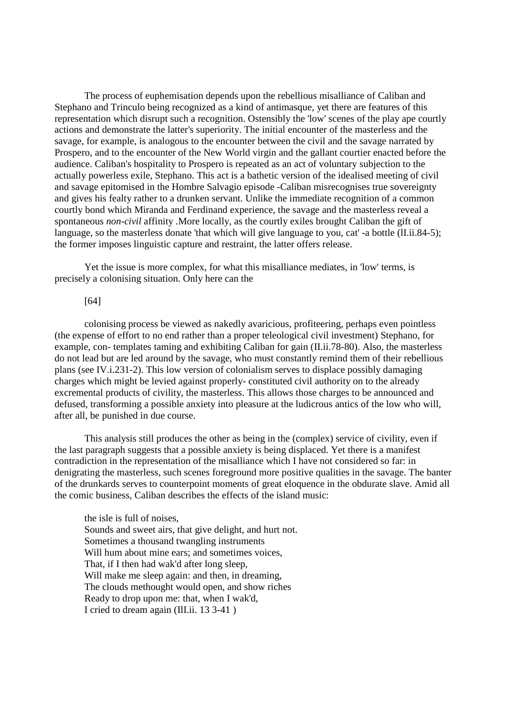The process of euphemisation depends upon the rebellious misalliance of Caliban and Stephano and Trinculo being recognized as a kind of antimasque, yet there are features of this representation which disrupt such a recognition. Ostensibly the 'low' scenes of the play ape courtly actions and demonstrate the latter's superiority. The initial encounter of the masterless and the savage, for example, is analogous to the encounter between the civil and the savage narrated by Prospero, and to the encounter of the New World virgin and the gallant courtier enacted before the audience. Caliban's hospitality to Prospero is repeated as an act of voluntary subjection to the actually powerless exile, Stephano. This act is a bathetic version of the idealised meeting of civil and savage epitomised in the Hombre Salvagio episode -Caliban misrecognises true sovereignty and gives his fealty rather to a drunken servant. Unlike the immediate recognition of a common courtly bond which Miranda and Ferdinand experience, the savage and the masterless reveal a spontaneous *non-civil* affinity .More locally, as the courtly exiles brought Caliban the gift of language, so the masterless donate 'that which will give language to you, cat' -a bottle (II.ii.84-5); the former imposes linguistic capture and restraint, the latter offers release.

Yet the issue is more complex, for what this misalliance mediates, in 'low' terms, is precisely a colonising situation. Only here can the

## [64]

colonising process be viewed as nakedly avaricious, profiteering, perhaps even pointless (the expense of effort to no end rather than a proper teleological civil investment) Stephano, for example, con- templates taming and exhibiting Caliban for gain (II.ii.78-80). Also, the masterless do not lead but are led around by the savage, who must constantly remind them of their rebellious plans (see IV.i.231-2). This low version of colonialism serves to displace possibly damaging charges which might be levied against properly- constituted civil authority on to the already excremental products of civility, the masterless. This allows those charges to be announced and defused, transforming a possible anxiety into pleasure at the ludicrous antics of the low who will, after all, be punished in due course.

This analysis still produces the other as being in the (complex) service of civility, even if the last paragraph suggests that a possible anxiety is being displaced. Yet there is a manifest contradiction in the representation of the misalliance which I have not considered so far: in denigrating the masterless, such scenes foreground more positive qualities in the savage. The banter of the drunkards serves to counterpoint moments of great eloquence in the obdurate slave. Amid all the comic business, Caliban describes the effects of the island music:

the isle is full of noises, Sounds and sweet airs, that give delight, and hurt not. Sometimes a thousand twangling instruments Will hum about mine ears; and sometimes voices, That, if I then had wak'd after long sleep, Will make me sleep again: and then, in dreaming, The clouds methought would open, and show riches Ready to drop upon me: that, when I wak'd, I cried to dream again (IlI.ii. 13 3-41 )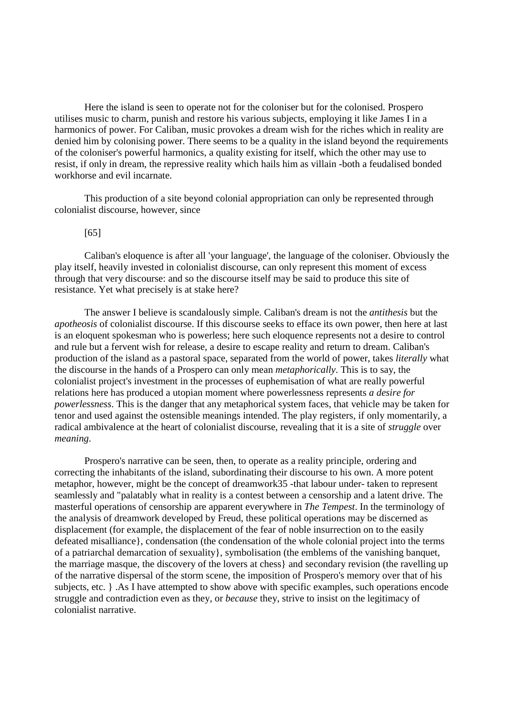Here the island is seen to operate not for the coloniser but for the colonised. Prospero utilises music to charm, punish and restore his various subjects, employing it like James I in a harmonics of power. For Caliban, music provokes a dream wish for the riches which in reality are denied him by colonising power. There seems to be a quality in the island beyond the requirements of the coloniser's powerful harmonics, a quality existing for itself, which the other may use to resist, if only in dream, the repressive reality which hails him as villain -both a feudalised bonded workhorse and evil incarnate.

This production of a site beyond colonial appropriation can only be represented through colonialist discourse, however, since

#### [65]

Caliban's eloquence is after all 'your language', the language of the coloniser. Obviously the play itself, heavily invested in colonialist discourse, can only represent this moment of excess through that very discourse: and so the discourse itself may be said to produce this site of resistance. Yet what precisely is at stake here?

The answer I believe is scandalously simple. Caliban's dream is not the *antithesis* but the *apotheosis* of colonialist discourse. If this discourse seeks to efface its own power, then here at last is an eloquent spokesman who is powerless; here such eloquence represents not a desire to control and rule but a fervent wish for release, a desire to escape reality and return to dream. Caliban's production of the island as a pastoral space, separated from the world of power, takes *literally* what the discourse in the hands of a Prospero can only mean *metaphorically*. This is to say, the colonialist project's investment in the processes of euphemisation of what are really powerful relations here has produced a utopian moment where powerlessness represents *a desire for powerlessness*. This is the danger that any metaphorical system faces, that vehicle may be taken for tenor and used against the ostensible meanings intended. The play registers, if only momentarily, a radical ambivalence at the heart of colonialist discourse, revealing that it is a site of *struggle* over *meaning*.

Prospero's narrative can be seen, then, to operate as a reality principle, ordering and correcting the inhabitants of the island, subordinating their discourse to his own. A more potent metaphor, however, might be the concept of dreamwork35 -that labour under- taken to represent seamlessly and "palatably what in reality is a contest between a censorship and a latent drive. The masterful operations of censorship are apparent everywhere in *The Tempest*. In the terminology of the analysis of dreamwork developed by Freud, these political operations may be discerned as displacement (for example, the displacement of the fear of noble insurrection on to the easily defeated misalliance}, condensation (the condensation of the whole colonial project into the terms of a patriarchal demarcation of sexuality}, symbolisation (the emblems of the vanishing banquet, the marriage masque, the discovery of the lovers at chess} and secondary revision (the ravelling up of the narrative dispersal of the storm scene, the imposition of Prospero's memory over that of his subjects, etc. } .As I have attempted to show above with specific examples, such operations encode struggle and contradiction even as they, or *because* they, strive to insist on the legitimacy of colonialist narrative.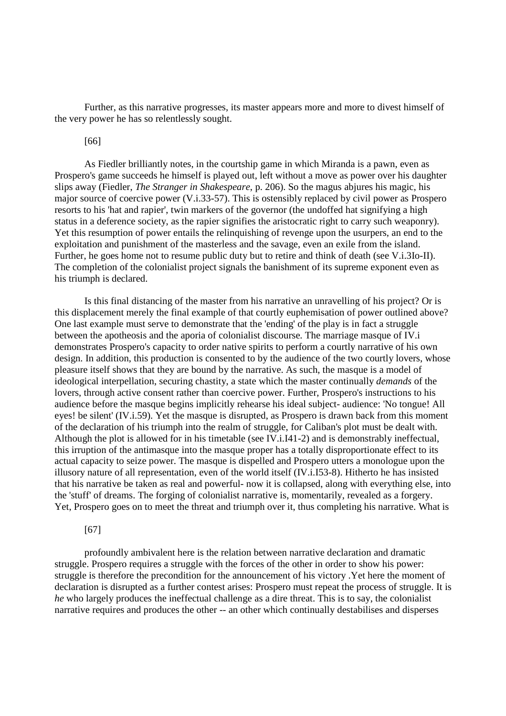Further, as this narrative progresses, its master appears more and more to divest himself of the very power he has so relentlessly sought.

[66]

As Fiedler brilliantly notes, in the courtship game in which Miranda is a pawn, even as Prospero's game succeeds he himself is played out, left without a move as power over his daughter slips away (Fiedler, *The Stranger in Shakespeare*, p. 206). So the magus abjures his magic, his major source of coercive power (V.i.33-57). This is ostensibly replaced by civil power as Prospero resorts to his 'hat and rapier', twin markers of the governor (the undoffed hat signifying a high status in a deference society, as the rapier signifies the aristocratic right to carry such weaponry). Yet this resumption of power entails the relinquishing of revenge upon the usurpers, an end to the exploitation and punishment of the masterless and the savage, even an exile from the island. Further, he goes home not to resume public duty but to retire and think of death (see V.i.3Io-II). The completion of the colonialist project signals the banishment of its supreme exponent even as his triumph is declared.

Is this final distancing of the master from his narrative an unravelling of his project? Or is this displacement merely the final example of that courtly euphemisation of power outlined above? One last example must serve to demonstrate that the 'ending' of the play is in fact a struggle between the apotheosis and the aporia of colonialist discourse. The marriage masque of IV.i demonstrates Prospero's capacity to order native spirits to perform a courtly narrative of his own design. In addition, this production is consented to by the audience of the two courtly lovers, whose pleasure itself shows that they are bound by the narrative. As such, the masque is a model of ideological interpellation, securing chastity, a state which the master continually *demands* of the lovers, through active consent rather than coercive power. Further, Prospero's instructions to his audience before the masque begins implicitly rehearse his ideal subject- audience: 'No tongue! All eyes! be silent' (IV.i.59). Yet the masque is disrupted, as Prospero is drawn back from this moment of the declaration of his triumph into the realm of struggle, for Caliban's plot must be dealt with. Although the plot is allowed for in his timetable (see IV.i.I41-2) and is demonstrably ineffectual, this irruption of the antimasque into the masque proper has a totally disproportionate effect to its actual capacity to seize power. The masque is dispelled and Prospero utters a monologue upon the illusory nature of all representation, even of the world itself (IV.i.I53-8). Hitherto he has insisted that his narrative be taken as real and powerful- now it is collapsed, along with everything else, into the 'stuff' of dreams. The forging of colonialist narrative is, momentarily, revealed as a forgery. Yet, Prospero goes on to meet the threat and triumph over it, thus completing his narrative. What is

## [67]

profoundly ambivalent here is the relation between narrative declaration and dramatic struggle. Prospero requires a struggle with the forces of the other in order to show his power: struggle is therefore the precondition for the announcement of his victory .Yet here the moment of declaration is disrupted as a further contest arises: Prospero must repeat the process of struggle. It is *he* who largely produces the ineffectual challenge as a dire threat. This is to say, the colonialist narrative requires and produces the other -- an other which continually destabilises and disperses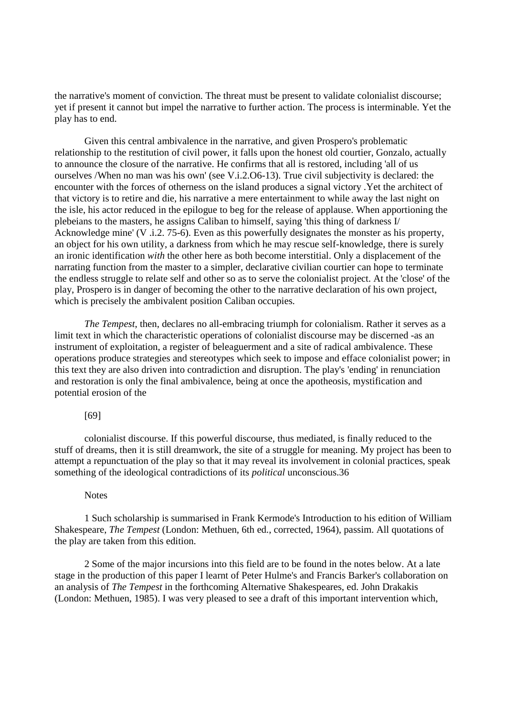the narrative's moment of conviction. The threat must be present to validate colonialist discourse; yet if present it cannot but impel the narrative to further action. The process is interminable. Yet the play has to end.

Given this central ambivalence in the narrative, and given Prospero's problematic relationship to the restitution of civil power, it falls upon the honest old courtier, Gonzalo, actually to announce the closure of the narrative. He confirms that all is restored, including 'all of us ourselves /When no man was his own' (see V.i.2.O6-13). True civil subjectivity is declared: the encounter with the forces of otherness on the island produces a signal victory .Yet the architect of that victory is to retire and die, his narrative a mere entertainment to while away the last night on the isle, his actor reduced in the epilogue to beg for the release of applause. When apportioning the plebeians to the masters, he assigns Caliban to himself, saying 'this thing of darkness I/ Acknowledge mine' (V .i.2. 75-6). Even as this powerfully designates the monster as his property, an object for his own utility, a darkness from which he may rescue self-knowledge, there is surely an ironic identification *with* the other here as both become interstitial. Only a displacement of the narrating function from the master to a simpler, declarative civilian courtier can hope to terminate the endless struggle to relate self and other so as to serve the colonialist project. At the 'close' of the play, Prospero is in danger of becoming the other to the narrative declaration of his own project, which is precisely the ambivalent position Caliban occupies.

*The Tempest*, then, declares no all-embracing triumph for colonialism. Rather it serves as a limit text in which the characteristic operations of colonialist discourse may be discerned -as an instrument of exploitation, a register of beleaguerment and a site of radical ambivalence. These operations produce strategies and stereotypes which seek to impose and efface colonialist power; in this text they are also driven into contradiction and disruption. The play's 'ending' in renunciation and restoration is only the final ambivalence, being at once the apotheosis, mystification and potential erosion of the

## [69]

colonialist discourse. If this powerful discourse, thus mediated, is finally reduced to the stuff of dreams, then it is still dreamwork, the site of a struggle for meaning. My project has been to attempt a repunctuation of the play so that it may reveal its involvement in colonial practices, speak something of the ideological contradictions of its *political* unconscious.36

#### **Notes**

1 Such scholarship is summarised in Frank Kermode's Introduction to his edition of William Shakespeare, *The Tempest* (London: Methuen, 6th ed., corrected, 1964), passim. All quotations of the play are taken from this edition.

2 Some of the major incursions into this field are to be found in the notes below. At a late stage in the production of this paper I learnt of Peter Hulme's and Francis Barker's collaboration on an analysis of *The Tempest* in the forthcoming Alternative Shakespeares, ed. John Drakakis (London: Methuen, 1985). I was very pleased to see a draft of this important intervention which,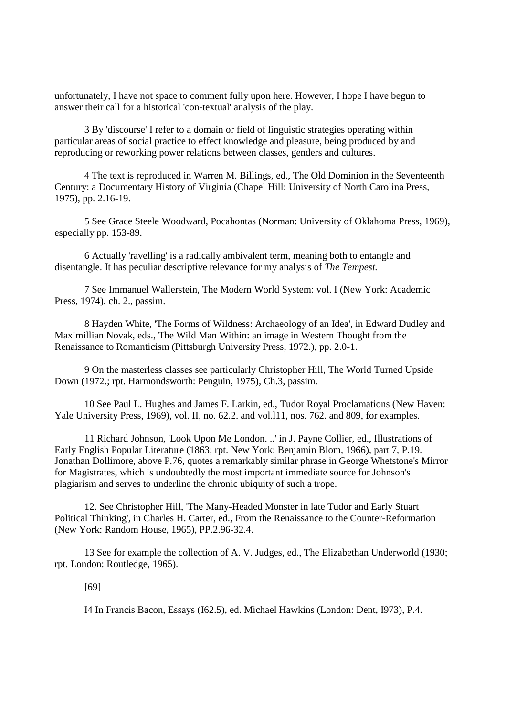unfortunately, I have not space to comment fully upon here. However, I hope I have begun to answer their call for a historical 'con-textual' analysis of the play.

3 By 'discourse' I refer to a domain or field of linguistic strategies operating within particular areas of social practice to effect knowledge and pleasure, being produced by and reproducing or reworking power relations between classes, genders and cultures.

4 The text is reproduced in Warren M. Billings, ed., The Old Dominion in the Seventeenth Century: a Documentary History of Virginia (Chapel Hill: University of North Carolina Press, 1975), pp. 2.16-19.

5 See Grace Steele Woodward, Pocahontas (Norman: University of Oklahoma Press, 1969), especially pp. 153-89.

6 Actually 'ravelling' is a radically ambivalent term, meaning both to entangle and disentangle. It has peculiar descriptive relevance for my analysis of *The Tempest.* 

7 See Immanuel Wallerstein, The Modern World System: vol. I (New York: Academic Press, 1974), ch. 2., passim.

8 Hayden White, 'The Forms of Wildness: Archaeology of an Idea', in Edward Dudley and Maximillian Novak, eds., The Wild Man Within: an image in Western Thought from the Renaissance to Romanticism (Pittsburgh University Press, 1972.), pp. 2.0-1.

9 On the masterless classes see particularly Christopher Hill, The World Turned Upside Down (1972.; rpt. Harmondsworth: Penguin, 1975), Ch.3, passim.

10 See Paul L. Hughes and James F. Larkin, ed., Tudor Royal Proclamations (New Haven: Yale University Press, 1969), vol. II, no. 62.2. and vol.l11, nos. 762. and 809, for examples.

11 Richard Johnson, 'Look Upon Me London. ..' in J. Payne Collier, ed., Illustrations of Early English Popular Literature (1863; rpt. New York: Benjamin Blom, 1966), part 7, P.19. Jonathan Dollimore, above P.76, quotes a remarkably similar phrase in George Whetstone's Mirror for Magistrates, which is undoubtedly the most important immediate source for Johnson's plagiarism and serves to underline the chronic ubiquity of such a trope.

12. See Christopher Hill, 'The Many-Headed Monster in late Tudor and Early Stuart Political Thinking', in Charles H. Carter, ed., From the Renaissance to the Counter-Reformation (New York: Random House, 1965), PP.2.96-32.4.

13 See for example the collection of A. V. Judges, ed., The Elizabethan Underworld (1930; rpt. London: Routledge, 1965).

[69]

I4 In Francis Bacon, Essays (I62.5), ed. Michael Hawkins (London: Dent, I973), P.4.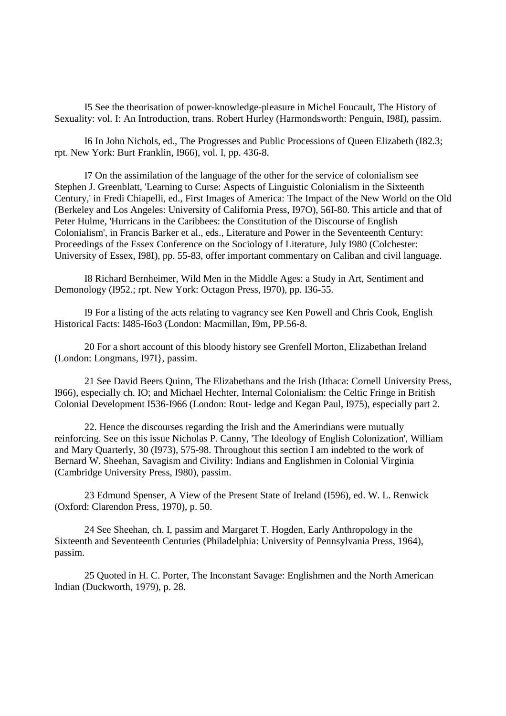I5 See the theorisation of power-knowledge-pleasure in Michel Foucault, The History of Sexuality: vol. I: An Introduction, trans. Robert Hurley (Harmondsworth: Penguin, I98I), passim.

I6 In John Nichols, ed., The Progresses and Public Processions of Queen Elizabeth (I82.3; rpt. New York: Burt Franklin, I966), vol. I, pp. 436-8.

I7 On the assimilation of the language of the other for the service of colonialism see Stephen J. Greenblatt, 'Learning to Curse: Aspects of Linguistic Colonialism in the Sixteenth Century,' in Fredi Chiapelli, ed., First Images of America: The Impact of the New World on the Old (Berkeley and Los Angeles: University of California Press, I97O), 56I-80. This article and that of Peter Hulme, 'Hurricans in the Caribbees: the Constitution of the Discourse of English Colonialism', in Francis Barker et al., eds., Literature and Power in the Seventeenth Century: Proceedings of the Essex Conference on the Sociology of Literature, July I980 (Colchester: University of Essex, I98I), pp. 55-83, offer important commentary on Caliban and civil language.

I8 Richard Bernheimer, Wild Men in the Middle Ages: a Study in Art, Sentiment and Demonology (I952.; rpt. New York: Octagon Press, I970), pp. I36-55.

I9 For a listing of the acts relating to vagrancy see Ken Powell and Chris Cook, English Historical Facts: I485-I6o3 (London: Macmillan, I9m, PP.56-8.

20 For a short account of this bloody history see Grenfell Morton, Elizabethan Ireland (London: Longmans, I97I}, passim.

21 See David Beers Quinn, The Elizabethans and the Irish (Ithaca: Cornell University Press, I966), especially ch. IO; and Michael Hechter, Internal Colonialism: the Celtic Fringe in British Colonial Development I536-I966 (London: Rout- ledge and Kegan Paul, I975), especially part 2.

22. Hence the discourses regarding the Irish and the Amerindians were mutually reinforcing. See on this issue Nicholas P. Canny, 'The Ideology of English Colonization', William and Mary Quarterly, 30 (I973), 575-98. Throughout this section I am indebted to the work of Bernard W. Sheehan, Savagism and Civility: Indians and Englishmen in Colonial Virginia (Cambridge University Press, I980), passim.

23 Edmund Spenser, A View of the Present State of Ireland (I596), ed. W. L. Renwick (Oxford: Clarendon Press, 1970), p. 50.

24 See Sheehan, ch. I, passim and Margaret T. Hogden, Early Anthropology in the Sixteenth and Seventeenth Centuries (Philadelphia: University of Pennsylvania Press, 1964), passim.

25 Quoted in H. C. Porter, The Inconstant Savage: Englishmen and the North American Indian (Duckworth, 1979), p. 28.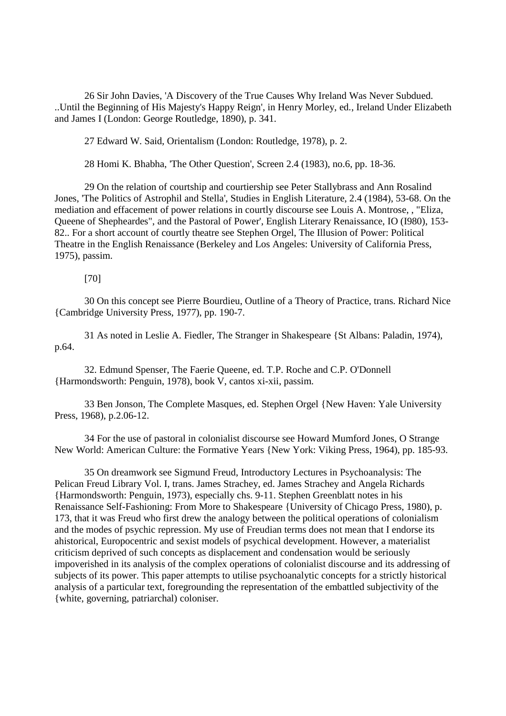26 Sir John Davies, 'A Discovery of the True Causes Why Ireland Was Never Subdued. ..Until the Beginning of His Majesty's Happy Reign', in Henry Morley, ed., Ireland Under Elizabeth and James I (London: George Routledge, 1890), p. 341.

27 Edward W. Said, Orientalism (London: Routledge, 1978), p. 2.

28 Homi K. Bhabha, 'The Other Question', Screen 2.4 (1983), no.6, pp. 18-36.

29 On the relation of courtship and courtiership see Peter Stallybrass and Ann Rosalind Jones, 'The Politics of Astrophil and Stella', Studies in English Literature, 2.4 (1984), 53-68. On the mediation and effacement of power relations in courtly discourse see Louis A. Montrose, , "Eliza, Queene of Shepheardes", and the Pastoral of Power', English Literary Renaissance, IO (I980), 153- 82.. For a short account of courtly theatre see Stephen Orgel, The Illusion of Power: Political Theatre in the English Renaissance (Berkeley and Los Angeles: University of California Press, 1975), passim.

[70]

30 On this concept see Pierre Bourdieu, Outline of a Theory of Practice, trans. Richard Nice {Cambridge University Press, 1977), pp. 190-7.

31 As noted in Leslie A. Fiedler, The Stranger in Shakespeare {St Albans: Paladin, 1974), p.64.

32. Edmund Spenser, The Faerie Queene, ed. T.P. Roche and C.P. O'Donnell {Harmondsworth: Penguin, 1978), book V, cantos xi-xii, passim.

33 Ben Jonson, The Complete Masques, ed. Stephen Orgel {New Haven: Yale University Press, 1968), p.2.06-12.

34 For the use of pastoral in colonialist discourse see Howard Mumford Jones, O Strange New World: American Culture: the Formative Years {New York: Viking Press, 1964), pp. 185-93.

35 On dreamwork see Sigmund Freud, Introductory Lectures in Psychoanalysis: The Pelican Freud Library Vol. I, trans. James Strachey, ed. James Strachey and Angela Richards {Harmondsworth: Penguin, 1973), especially chs. 9-11. Stephen Greenblatt notes in his Renaissance Self-Fashioning: From More to Shakespeare {University of Chicago Press, 1980), p. 173, that it was Freud who first drew the analogy between the political operations of colonialism and the modes of psychic repression. My use of Freudian terms does not mean that I endorse its ahistorical, Europocentric and sexist models of psychical development. However, a materialist criticism deprived of such concepts as displacement and condensation would be seriously impoverished in its analysis of the complex operations of colonialist discourse and its addressing of subjects of its power. This paper attempts to utilise psychoanalytic concepts for a strictly historical analysis of a particular text, foregrounding the representation of the embattled subjectivity of the {white, governing, patriarchal) coloniser.